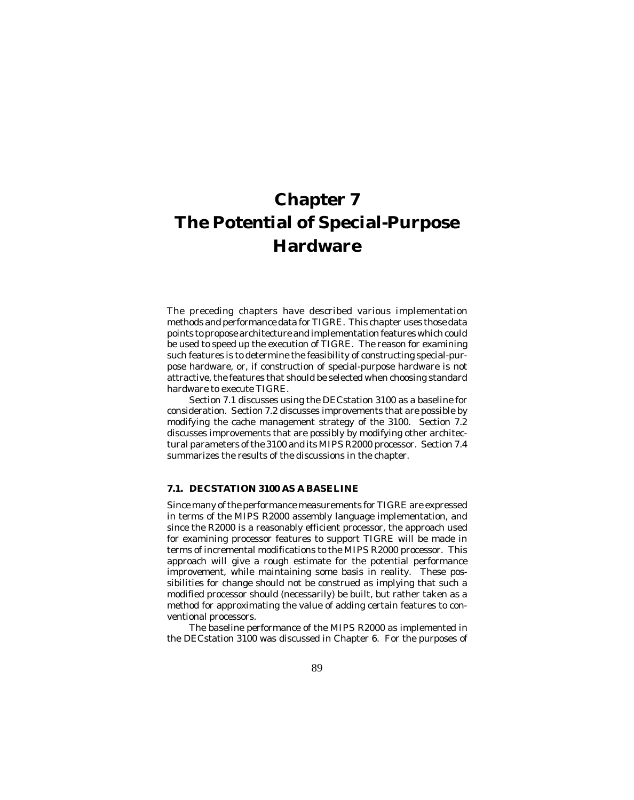The preceding chapters have described various implementation methods and performance data for TIGRE. This chapter uses those data points to propose architecture and implementation features which could be used to speed up the execution of TIGRE. The reason for examining such features is to determine the feasibility of constructing special-purpose hardware, or, if construction of special-purpose hardware is not attractive, the features that should be selected when choosing standard hardware to execute TIGRE.

Section 7.1 discusses using the DECstation 3100 as a baseline for consideration. Section 7.2 discusses improvements that are possible by modifying the cache management strategy of the 3100. Section 7.2 discusses improvements that are possibly by modifying other architectural parameters of the 3100 and its MIPS R2000 processor. Section 7.4 summarizes the results of the discussions in the chapter.

# **7.1. DECSTATION 3100 AS A BASELINE**

Since many of the performance measurements for TIGRE are expressed in terms of the MIPS R2000 assembly language implementation, and since the R2000 is a reasonably efficient processor, the approach used for examining processor features to support TIGRE will be made in terms of incremental modifications to the MIPS R2000 processor. This approach will give a rough estimate for the potential performance improvement, while maintaining some basis in reality. These possibilities for change should not be construed as implying that such a modified processor should (necessarily) be built, but rather taken as a method for approximating the value of adding certain features to conventional processors.

The baseline performance of the MIPS R2000 as implemented in the DECstation 3100 was discussed in Chapter 6. For the purposes of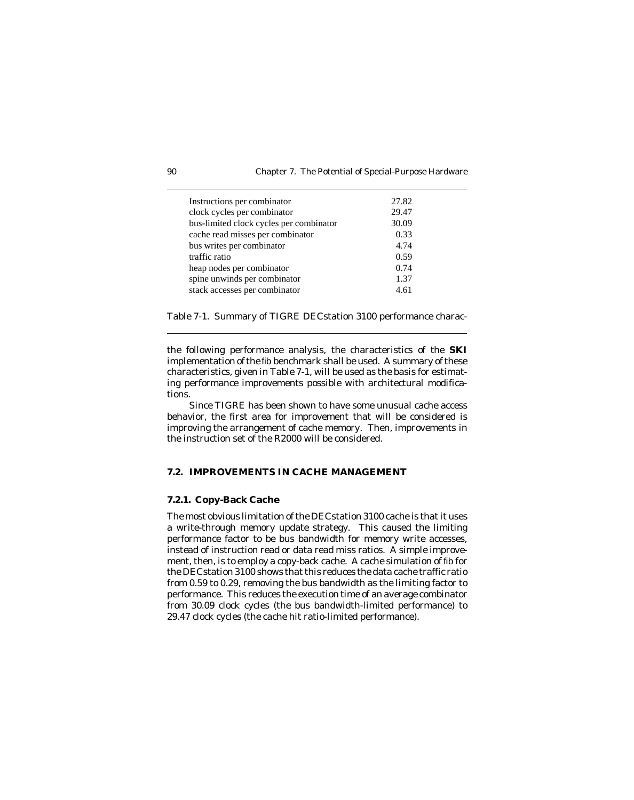| Instructions per combinator             | 27.82 |
|-----------------------------------------|-------|
| clock cycles per combinator             | 29.47 |
| bus-limited clock cycles per combinator | 30.09 |
| cache read misses per combinator        | 0.33  |
| bus writes per combinator               | 4.74  |
| traffic ratio                           | 0.59  |
| heap nodes per combinator               | 0.74  |
| spine unwinds per combinator            | 1.37  |
| stack accesses per combinator           | 4.61  |

Table 7-1. Summary of TIGRE DECstation 3100 performance charac-

the following performance analysis, the characteristics of the **SKI** implementation of the fib benchmark shall be used. A summary of these characteristics, given in Table 7-1, will be used as the basis for estimating performance improvements possible with architectural modifications.

Since TIGRE has been shown to have some unusual cache access behavior, the first area for improvement that will be considered is improving the arrangement of cache memory. Then, improvements in the instruction set of the R2000 will be considered.

## **7.2. IMPROVEMENTS IN CACHE MANAGEMENT**

## **7.2.1. Copy-Back Cache**

The most obvious limitation of the DECstation 3100 cache is that it uses a write-through memory update strategy. This caused the limiting performance factor to be bus bandwidth for memory write accesses, instead of instruction read or data read miss ratios. A simple improvement, then, is to employ a copy-back cache. A cache simulation of fib for the DECstation 3100 shows that this reduces the data cache traffic ratio from 0.59 to 0.29, removing the bus bandwidth as the limiting factor to performance. This reduces the execution time of an average combinator from 30.09 clock cycles (the bus bandwidth-limited performance) to 29.47 clock cycles (the cache hit ratio-limited performance).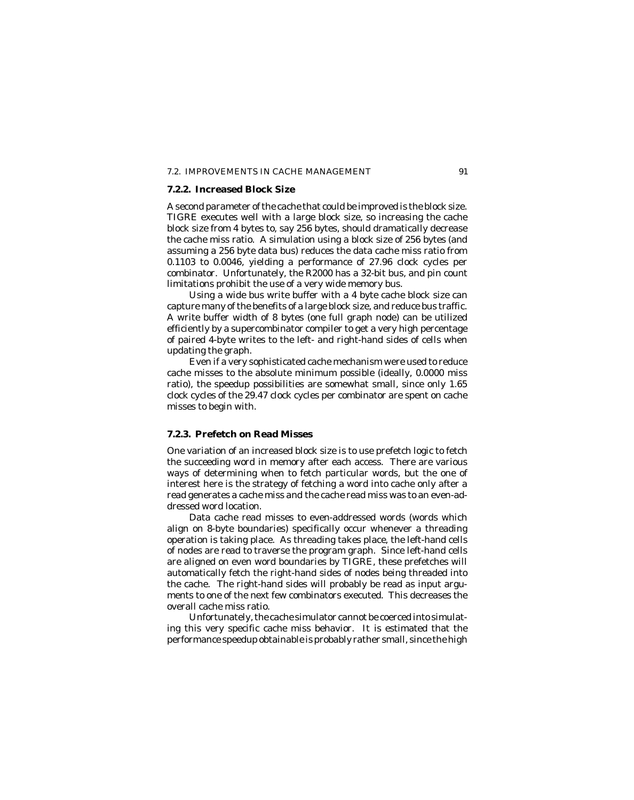#### 7.2. IMPROVEMENTS IN CACHE MANAGEMENT 91

## **7.2.2. Increased Block Size**

A second parameter of the cache that could be improved is the block size. TIGRE executes well with a large block size, so increasing the cache block size from 4 bytes to, say 256 bytes, should dramatically decrease the cache miss ratio. A simulation using a block size of 256 bytes (and assuming a 256 byte data bus) reduces the data cache miss ratio from 0.1103 to 0.0046, yielding a performance of 27.96 clock cycles per combinator. Unfortunately, the R2000 has a 32-bit bus, and pin count limitations prohibit the use of a very wide memory bus.

Using a wide bus write buffer with a 4 byte cache block size can capture many of the benefits of a large block size, and reduce bus traffic. A write buffer width of 8 bytes (one full graph node) can be utilized efficiently by a supercombinator compiler to get a very high percentage of paired 4-byte writes to the left- and right-hand sides of cells when updating the graph.

Even if a very sophisticated cache mechanism were used to reduce cache misses to the absolute minimum possible (ideally, 0.0000 miss ratio), the speedup possibilities are somewhat small, since only 1.65 clock cycles of the 29.47 clock cycles per combinator are spent on cache misses to begin with.

## **7.2.3. Prefetch on Read Misses**

One variation of an increased block size is to use prefetch logic to fetch the succeeding word in memory after each access. There are various ways of determining when to fetch particular words, but the one of interest here is the strategy of fetching a word into cache only after a read generates a cache miss *and* the cache read miss was to an even-addressed word location.

Data cache read misses to even-addressed words (words which align on 8-byte boundaries) specifically occur whenever a threading operation is taking place. As threading takes place, the left-hand cells of nodes are read to traverse the program graph. Since left-hand cells are aligned on even word boundaries by TIGRE, these prefetches will automatically fetch the right-hand sides of nodes being threaded into the cache. The right-hand sides will probably be read as input arguments to one of the next few combinators executed. This decreases the overall cache miss ratio.

Unfortunately, the cache simulator cannot be coerced into simulating this very specific cache miss behavior. It is estimated that the performance speedup obtainable is probably rather small, since the high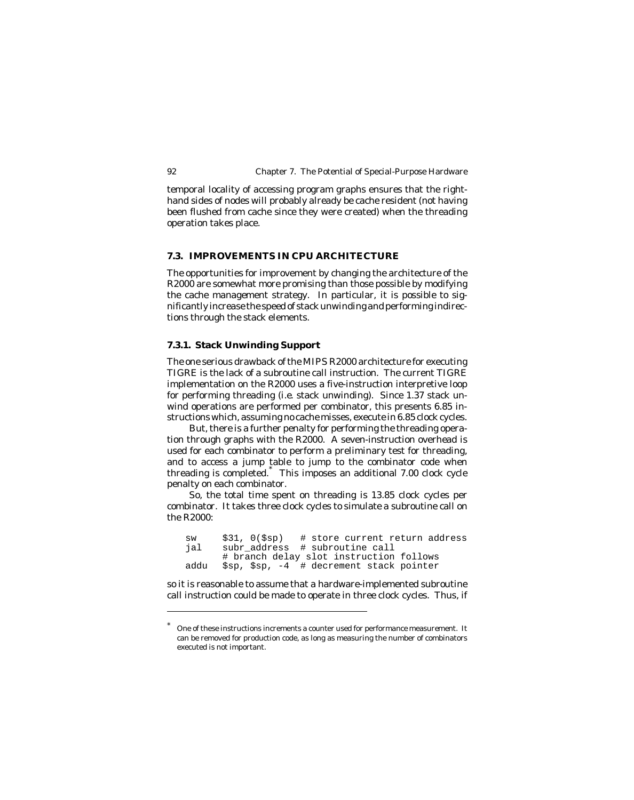temporal locality of accessing program graphs ensures that the righthand sides of nodes will probably already be cache resident (not having been flushed from cache since they were created) when the threading operation takes place.

## **7.3. IMPROVEMENTS IN CPU ARCHITECTURE**

The opportunities for improvement by changing the architecture of the R2000 are somewhat more promising than those possible by modifying the cache management strategy. In particular, it is possible to significantly increase the speed of stack unwinding and performing indirections through the stack elements.

## **7.3.1. Stack Unwinding Support**

The one serious drawback of the MIPS R2000 architecture for executing TIGRE is the lack of a subroutine call instruction. The current TIGRE implementation on the R2000 uses a five-instruction interpretive loop for performing threading (*i.e.* stack unwinding). Since 1.37 stack unwind operations are performed per combinator, this presents 6.85 instructions which, assuming no cache misses, execute in 6.85 clock cycles.

But, there is a further penalty for performing the threading operation through graphs with the R2000. A seven-instruction overhead is used for each combinator to perform a preliminary test for threading, and to access a jump table to jump to the combinator code when threading is completed.\* This imposes an additional 7.00 clock cycle penalty on each combinator.

So, the total time spent on threading is 13.85 clock cycles per combinator. It takes three clock cycles to simulate a subroutine call on the R2000:

sw \$31, 0(\$sp) # store current return address jal subr\_address # subroutine call # branch delay slot instruction follows addu \$sp, \$sp, -4 # decrement stack pointer

so it is reasonable to assume that a hardware-implemented subroutine call instruction could be made to operate in three clock cycles. Thus, if

One of these instructions increments a counter used for performance measurement. It can be removed for production code, as long as measuring the number of combinators executed is not important.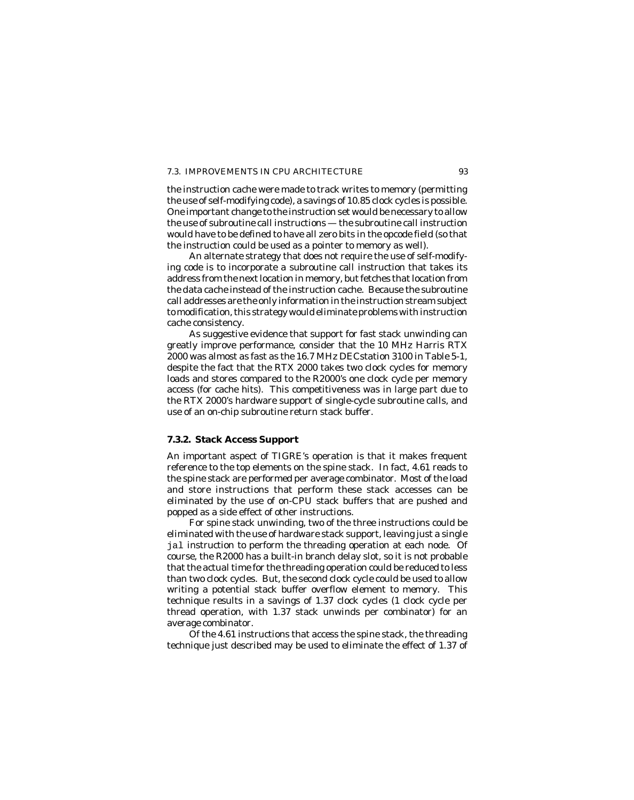## 7.3. IMPROVEMENTS IN CPU ARCHITECTURE 93

the instruction cache were made to track writes to memory (permitting the use of self-modifying code), a savings of 10.85 clock cycles is possible. One important change to the instruction set would be necessary to allow the use of subroutine call instructions — the subroutine call instruction would have to be defined to have all zero bits in the opcode field (so that the instruction could be used as a pointer to memory as well).

An alternate strategy that does not require the use of self-modifying code is to incorporate a subroutine call instruction that takes its address from the next location in memory, but fetches that location from the *data cache* instead of the instruction cache. Because the subroutine call addresses are the only information in the instruction stream subject to modification, this strategy would eliminate problems with instruction cache consistency.

As suggestive evidence that support for fast stack unwinding can greatly improve performance, consider that the 10 MHz Harris RTX 2000 was almost as fast as the 16.7 MHz DECstation 3100 in Table 5-1, despite the fact that the RTX 2000 takes two clock cycles for memory loads and stores compared to the R2000's one clock cycle per memory access (for cache hits). This competitiveness was in large part due to the RTX 2000's hardware support of single-cycle subroutine calls, and use of an on-chip subroutine return stack buffer.

## **7.3.2. Stack Access Support**

An important aspect of TIGRE's operation is that it makes frequent reference to the top elements on the spine stack. In fact, 4.61 reads to the spine stack are performed per average combinator. Most of the load and store instructions that perform these stack accesses can be eliminated by the use of on-CPU stack buffers that are pushed and popped as a side effect of other instructions.

For spine stack unwinding, two of the three instructions could be eliminated with the use of hardware stack support, leaving just a single jal instruction to perform the threading operation at each node. Of course, the R2000 has a built-in branch delay slot, so it is not probable that the actual time for the threading operation could be reduced to less than two clock cycles. But, the second clock cycle could be used to allow writing a potential stack buffer overflow element to memory. This technique results in a savings of 1.37 clock cycles (1 clock cycle per thread operation, with 1.37 stack unwinds per combinator) for an average combinator.

Of the 4.61 instructions that access the spine stack, the threading technique just described may be used to eliminate the effect of 1.37 of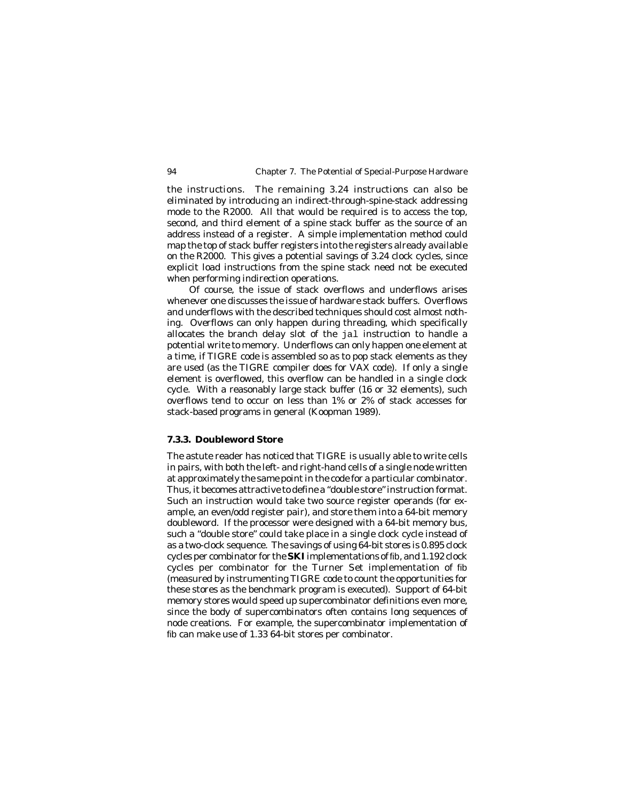the instructions. The remaining 3.24 instructions can also be eliminated by introducing an indirect-through-spine-stack addressing mode to the R2000. All that would be required is to access the top, second, and third element of a spine stack buffer as the source of an address instead of a register. A simple implementation method could map the top of stack buffer registers into the registers already available on the R2000. This gives a potential savings of 3.24 clock cycles, since explicit load instructions from the spine stack need not be executed when performing indirection operations.

Of course, the issue of stack overflows and underflows arises whenever one discusses the issue of hardware stack buffers. Overflows and underflows with the described techniques should cost almost nothing. Overflows can only happen during threading, which specifically allocates the branch delay slot of the jal instruction to handle a potential write to memory. Underflows can only happen one element at a time, if TIGRE code is assembled so as to pop stack elements as they are used (as the TIGRE compiler does for VAX code). If only a single element is overflowed, this overflow can be handled in a single clock cycle. With a reasonably large stack buffer (16 or 32 elements), such overflows tend to occur on less than 1% or 2% of stack accesses for stack-based programs in general (Koopman 1989).

## **7.3.3. Doubleword Store**

The astute reader has noticed that TIGRE is usually able to write cells in pairs, with both the left- and right-hand cells of a single node written at approximately the same point in the code for a particular combinator. Thus, it becomes attractive to define a "double store" instruction format. Such an instruction would take two source register operands (for example, an even/odd register pair), and store them into a 64-bit memory doubleword. If the processor were designed with a 64-bit memory bus, such a "double store" could take place in a single clock cycle instead of as a two-clock sequence. The savings of using 64-bit stores is 0.895 clock cycles per combinator for the **SKI** implementations of fib, and 1.192 clock cycles per combinator for the Turner Set implementation of fib (measured by instrumenting TIGRE code to count the opportunities for these stores as the benchmark program is executed). Support of 64-bit memory stores would speed up supercombinator definitions even more, since the body of supercombinators often contains long sequences of node creations. For example, the supercombinator implementation of fib can make use of 1.33 64-bit stores per combinator.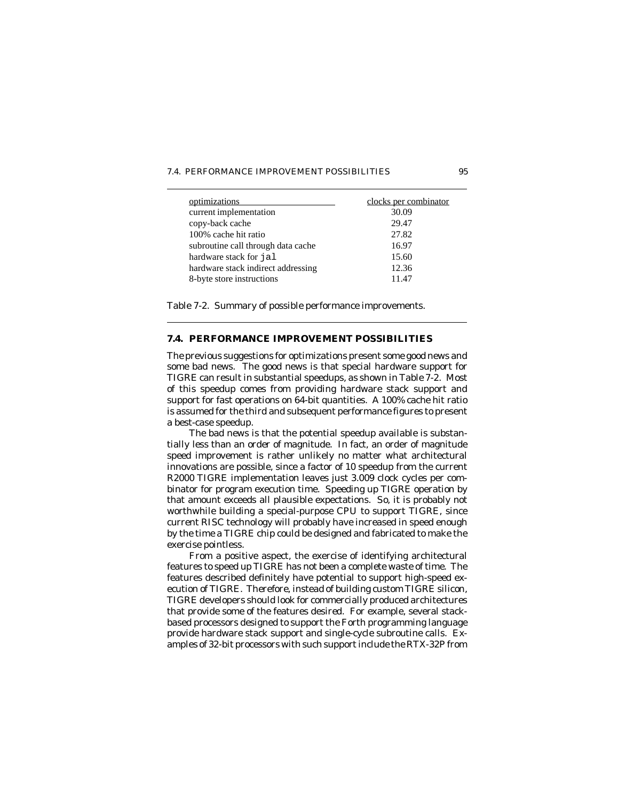| 7.4. PERFORMANCE IMPROVEMENT POSSIBILITIES<br>95 |
|--------------------------------------------------|
|--------------------------------------------------|

| optimizations<br>current implementation | clocks per combinator<br>30.09 |
|-----------------------------------------|--------------------------------|
| copy-back cache                         | 29.47                          |
| 100% cache hit ratio                    | 27.82                          |
| subroutine call through data cache      | 16.97                          |
| hardware stack for jal                  | 15.60                          |
| hardware stack indirect addressing      | 12.36                          |
| 8-byte store instructions               | 11.47                          |

Table 7-2. Summary of possible performance improvements.

## **7.4. PERFORMANCE IMPROVEMENT POSSIBILITIES**

The previous suggestions for optimizations present some good news and some bad news. The good news is that special hardware support for TIGRE can result in substantial speedups, as shown in Table 7-2. Most of this speedup comes from providing hardware stack support and support for fast operations on 64-bit quantities. A 100% cache hit ratio is assumed for the third and subsequent performance figures to present a best-case speedup.

The bad news is that the potential speedup available is substantially less than an order of magnitude. In fact, an order of magnitude speed improvement is rather unlikely no matter what architectural innovations are possible, since a factor of 10 speedup from the current R2000 TIGRE implementation leaves just 3.009 clock cycles per combinator for program execution time. Speeding up TIGRE operation by that amount exceeds all plausible expectations. So, it is probably not worthwhile building a special-purpose CPU to support TIGRE, since current RISC technology will probably have increased in speed enough by the time a TIGRE chip could be designed and fabricated to make the exercise pointless.

From a positive aspect, the exercise of identifying architectural features to speed up TIGRE has not been a complete waste of time. The features described definitely have potential to support high-speed execution of TIGRE. Therefore, instead of building custom TIGRE silicon, TIGRE developers should look for commercially produced architectures that provide some of the features desired. For example, several stackbased processors designed to support the Forth programming language provide hardware stack support and single-cycle subroutine calls. Examples of 32-bit processors with such support include the RTX-32P from